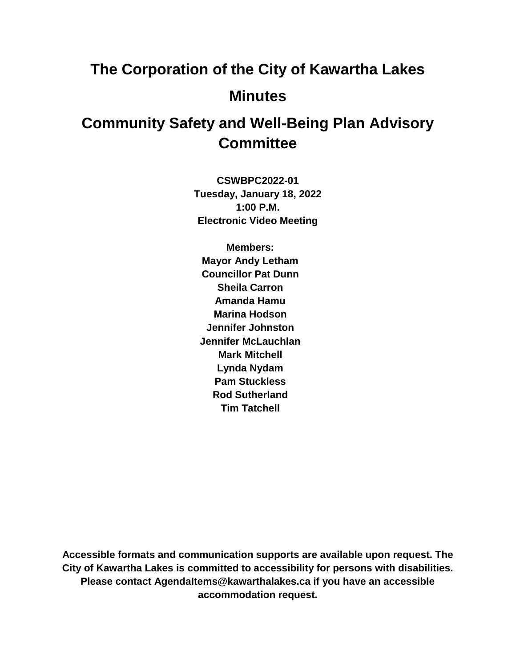# **The Corporation of the City of Kawartha Lakes Minutes**

# **Community Safety and Well-Being Plan Advisory Committee**

**CSWBPC2022-01 Tuesday, January 18, 2022 1:00 P.M. Electronic Video Meeting**

**Members: Mayor Andy Letham Councillor Pat Dunn Sheila Carron Amanda Hamu Marina Hodson Jennifer Johnston Jennifer McLauchlan Mark Mitchell Lynda Nydam Pam Stuckless Rod Sutherland Tim Tatchell**

**Accessible formats and communication supports are available upon request. The City of Kawartha Lakes is committed to accessibility for persons with disabilities. Please contact AgendaItems@kawarthalakes.ca if you have an accessible accommodation request.**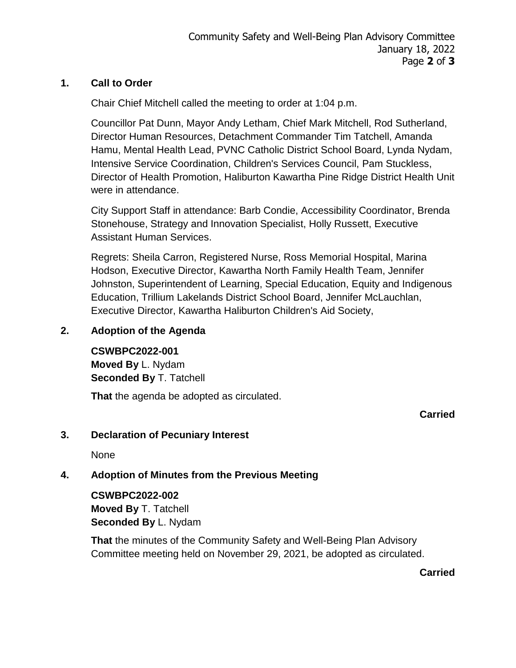#### **1. Call to Order**

Chair Chief Mitchell called the meeting to order at 1:04 p.m.

Councillor Pat Dunn, Mayor Andy Letham, Chief Mark Mitchell, Rod Sutherland, Director Human Resources, Detachment Commander Tim Tatchell, Amanda Hamu, Mental Health Lead, PVNC Catholic District School Board, Lynda Nydam, Intensive Service Coordination, Children's Services Council, Pam Stuckless, Director of Health Promotion, Haliburton Kawartha Pine Ridge District Health Unit were in attendance.

City Support Staff in attendance: Barb Condie, Accessibility Coordinator, Brenda Stonehouse, Strategy and Innovation Specialist, Holly Russett, Executive Assistant Human Services.

Regrets: Sheila Carron, Registered Nurse, Ross Memorial Hospital, Marina Hodson, Executive Director, Kawartha North Family Health Team, Jennifer Johnston, Superintendent of Learning, Special Education, Equity and Indigenous Education, Trillium Lakelands District School Board, Jennifer McLauchlan, Executive Director, Kawartha Haliburton Children's Aid Society,

# **2. Adoption of the Agenda**

#### **CSWBPC2022-001**

**Moved By** L. Nydam **Seconded By** T. Tatchell

**That** the agenda be adopted as circulated.

**Carried**

#### **3. Declaration of Pecuniary Interest**

None

# **4. Adoption of Minutes from the Previous Meeting**

#### **CSWBPC2022-002**

**Moved By** T. Tatchell **Seconded By** L. Nydam

**That** the minutes of the Community Safety and Well-Being Plan Advisory Committee meeting held on November 29, 2021, be adopted as circulated.

**Carried**